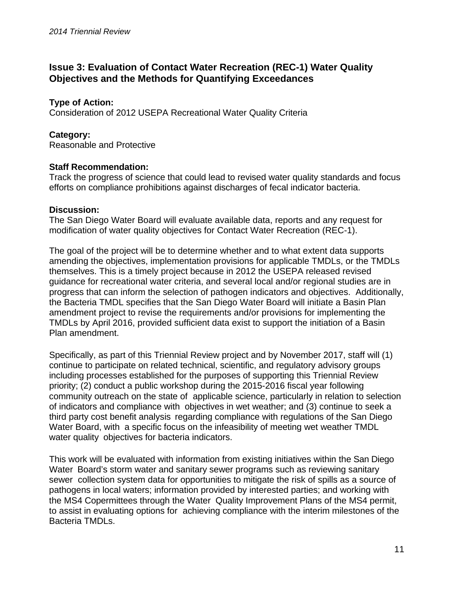# **Issue 3: Evaluation of Contact Water Recreation (REC-1) Water Quality Objectives and the Methods for Quantifying Exceedances**

## **Type of Action:**

Consideration of 2012 USEPA Recreational Water Quality Criteria

### **Category:**

Reasonable and Protective

#### **Staff Recommendation:**

Track the progress of science that could lead to revised water quality standards and focus efforts on compliance prohibitions against discharges of fecal indicator bacteria.

#### **Discussion:**

The San Diego Water Board will evaluate available data, reports and any request for modification of water quality objectives for Contact Water Recreation (REC-1).

The goal of the project will be to determine whether and to what extent data supports amending the objectives, implementation provisions for applicable TMDLs, or the TMDLs themselves. This is a timely project because in 2012 the USEPA released revised guidance for recreational water criteria, and several local and/or regional studies are in progress that can inform the selection of pathogen indicators and objectives. Additionally, the Bacteria TMDL specifies that the San Diego Water Board will initiate a Basin Plan amendment project to revise the requirements and/or provisions for implementing the TMDLs by April 2016, provided sufficient data exist to support the initiation of a Basin Plan amendment.

Specifically, as part of this Triennial Review project and by November 2017, staff will (1) continue to participate on related technical, scientific, and regulatory advisory groups including processes established for the purposes of supporting this Triennial Review priority; (2) conduct a public workshop during the 2015-2016 fiscal year following community outreach on the state of applicable science, particularly in relation to selection of indicators and compliance with objectives in wet weather; and (3) continue to seek a third party cost benefit analysis regarding compliance with regulations of the San Diego Water Board, with a specific focus on the infeasibility of meeting wet weather TMDL water quality objectives for bacteria indicators.

This work will be evaluated with information from existing initiatives within the San Diego Water Board's storm water and sanitary sewer programs such as reviewing sanitary sewer collection system data for opportunities to mitigate the risk of spills as a source of pathogens in local waters; information provided by interested parties; and working with the MS4 Copermittees through the Water Quality Improvement Plans of the MS4 permit, to assist in evaluating options for achieving compliance with the interim milestones of the Bacteria TMDLs.